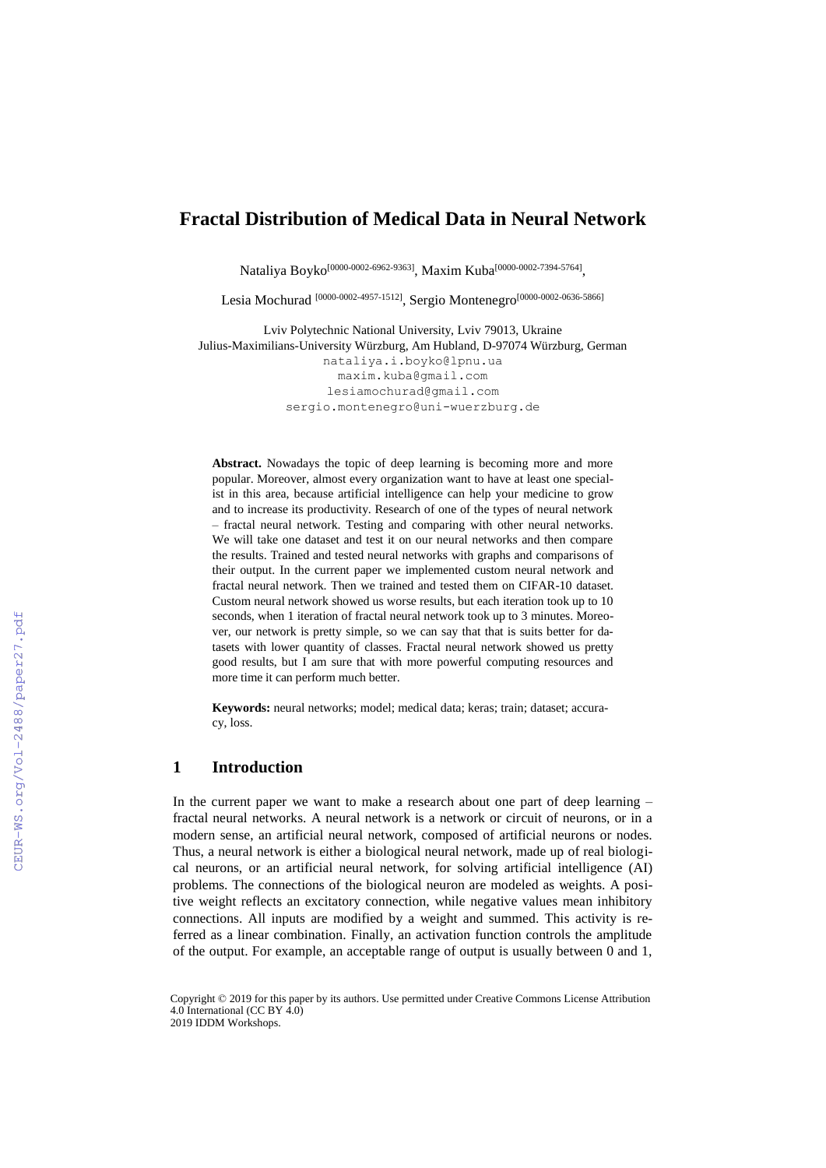# **Fractal Distribution of Medical Data in Neural Network**

Nataliya Boyko<sup>[0000-0002-6962-9363]</sup>, Maxim Kuba<sup>[0000-0002-7394-5764]</sup>,

Lesia Mochurad [0000-0002-4957-1512] , Sergio Montenegro [0000-0002-0636-5866]

Lviv Polytechnic National University, Lviv 79013, Ukraine Julius-Maximilians-University Würzburg, Am Hubland, D-97074 Würzburg, German [nataliya.i.boyko@lpnu.ua](mailto:nataliya.i.boyko@lpnu.ua) [maxim.kuba@gmail.com](mailto:maxim.kuba@gmail.com) [lesiamochurad@gmail.com](mailto:lesiamochurad@gmail.com) [sergio.montenegro@uni-wuerzburg.de](mailto:sergio.montenegro@uni-wuerzburg.de)

**Abstract.** Nowadays the topic of deep learning is becoming more and more popular. Moreover, almost every organization want to have at least one specialist in this area, because artificial intelligence can help your medicine to grow and to increase its productivity. Research of one of the types of neural network – fractal neural network. Testing and comparing with other neural networks. We will take one dataset and test it on our neural networks and then compare the results. Trained and tested neural networks with graphs and comparisons of their output. In the current paper we implemented custom neural network and fractal neural network. Then we trained and tested them on CIFAR-10 dataset. Custom neural network showed us worse results, but each iteration took up to 10 seconds, when 1 iteration of fractal neural network took up to 3 minutes. Moreover, our network is pretty simple, so we can say that that is suits better for datasets with lower quantity of classes. Fractal neural network showed us pretty good results, but I am sure that with more powerful computing resources and more time it can perform much better.

**Keywords:** neural networks; model; medical data; keras; train; dataset; accuracy, loss.

### **1 Introduction**

In the current paper we want to make a research about one part of deep learning – fractal neural networks. A neural network is a network or circuit of neurons, or in a modern sense, an artificial neural network, composed of artificial neurons or nodes. Thus, a neural network is either a biological neural network, made up of real biological neurons, or an artificial neural network, for solving artificial intelligence (AI) problems. The connections of the biological neuron are modeled as weights. A positive weight reflects an excitatory connection, while negative values mean inhibitory connections. All inputs are modified by a weight and summed. This activity is referred as a linear combination. Finally, an activation function controls the amplitude of the output. For example, an acceptable range of output is usually between 0 and 1,

Copyright © 2019 for this paper by its authors. Use permitted under Creative Commons License Attribution 4.0 International (CC BY 4.0) 2019 IDDM Workshops.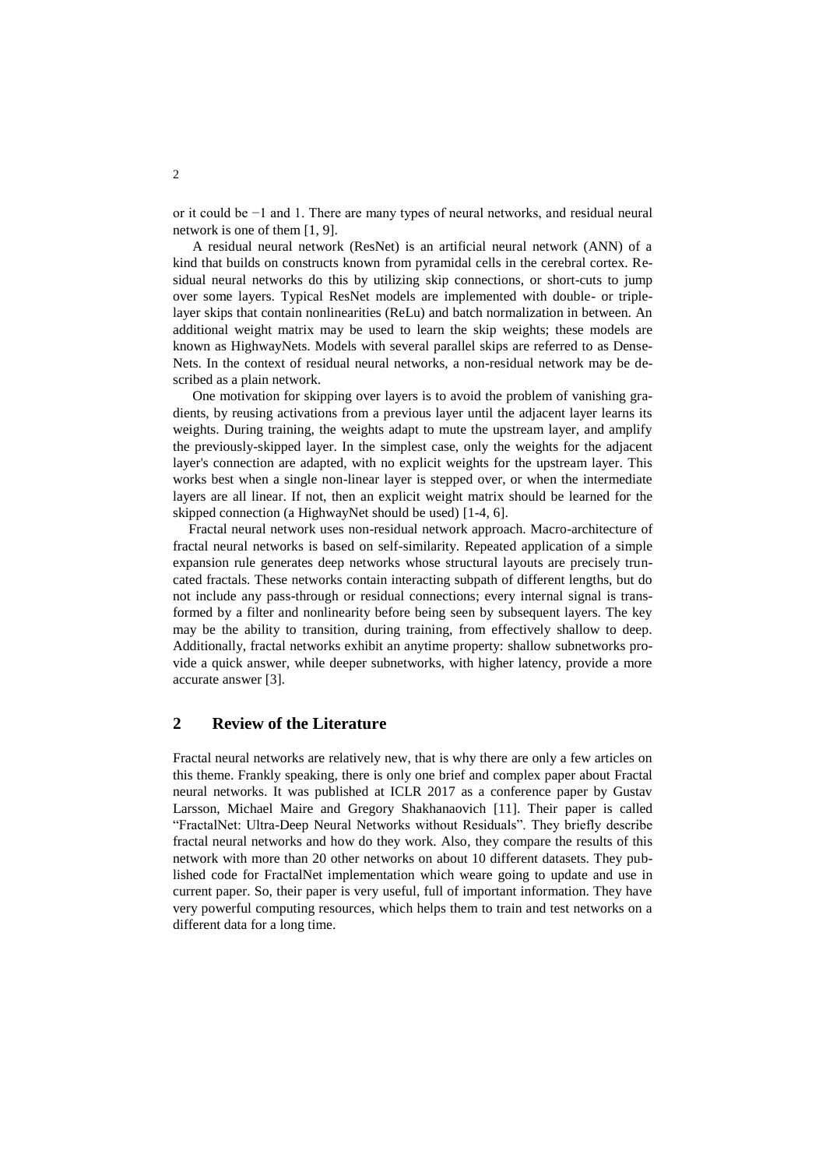or it could be −1 and 1. There are many types of neural networks, and residual neural network is one of them [1, 9].

A residual neural network (ResNet) is an artificial neural network (ANN) of a kind that builds on constructs known from pyramidal cells in the cerebral cortex. Residual neural networks do this by utilizing skip connections, or short-cuts to jump over some layers. Typical ResNet models are implemented with double- or triplelayer skips that contain nonlinearities (ReLu) and batch normalization in between. An additional weight matrix may be used to learn the skip weights; these models are known as HighwayNets. Models with several parallel skips are referred to as Dense-Nets. In the context of residual neural networks, a non-residual network may be described as a plain network.

One motivation for skipping over layers is to avoid the problem of vanishing gradients, by reusing activations from a previous layer until the adjacent layer learns its weights. During training, the weights adapt to mute the upstream layer, and amplify the previously-skipped layer. In the simplest case, only the weights for the adjacent layer's connection are adapted, with no explicit weights for the upstream layer. This works best when a single non-linear layer is stepped over, or when the intermediate layers are all linear. If not, then an explicit weight matrix should be learned for the skipped connection (a HighwayNet should be used) [1-4, 6].

Fractal neural network uses non-residual network approach. Macro-architecture of fractal neural networks is based on self-similarity. Repeated application of a simple expansion rule generates deep networks whose structural layouts are precisely truncated fractals. These networks contain interacting subpath of different lengths, but do not include any pass-through or residual connections; every internal signal is transformed by a filter and nonlinearity before being seen by subsequent layers. The key may be the ability to transition, during training, from effectively shallow to deep. Additionally, fractal networks exhibit an anytime property: shallow subnetworks provide a quick answer, while deeper subnetworks, with higher latency, provide a more accurate answer [3].

# **2 Review of the Literature**

Fractal neural networks are relatively new, that is why there are only a few articles on this theme. Frankly speaking, there is only one brief and complex paper about Fractal neural networks. It was published at ICLR 2017 as a conference paper by Gustav Larsson, Michael Maire and Gregory Shakhanaovich [11]. Their paper is called "FractalNet: Ultra-Deep Neural Networks without Residuals". They briefly describe fractal neural networks and how do they work. Also, they compare the results of this network with more than 20 other networks on about 10 different datasets. They published code for FractalNet implementation which weare going to update and use in current paper. So, their paper is very useful, full of important information. They have very powerful computing resources, which helps them to train and test networks on a different data for a long time.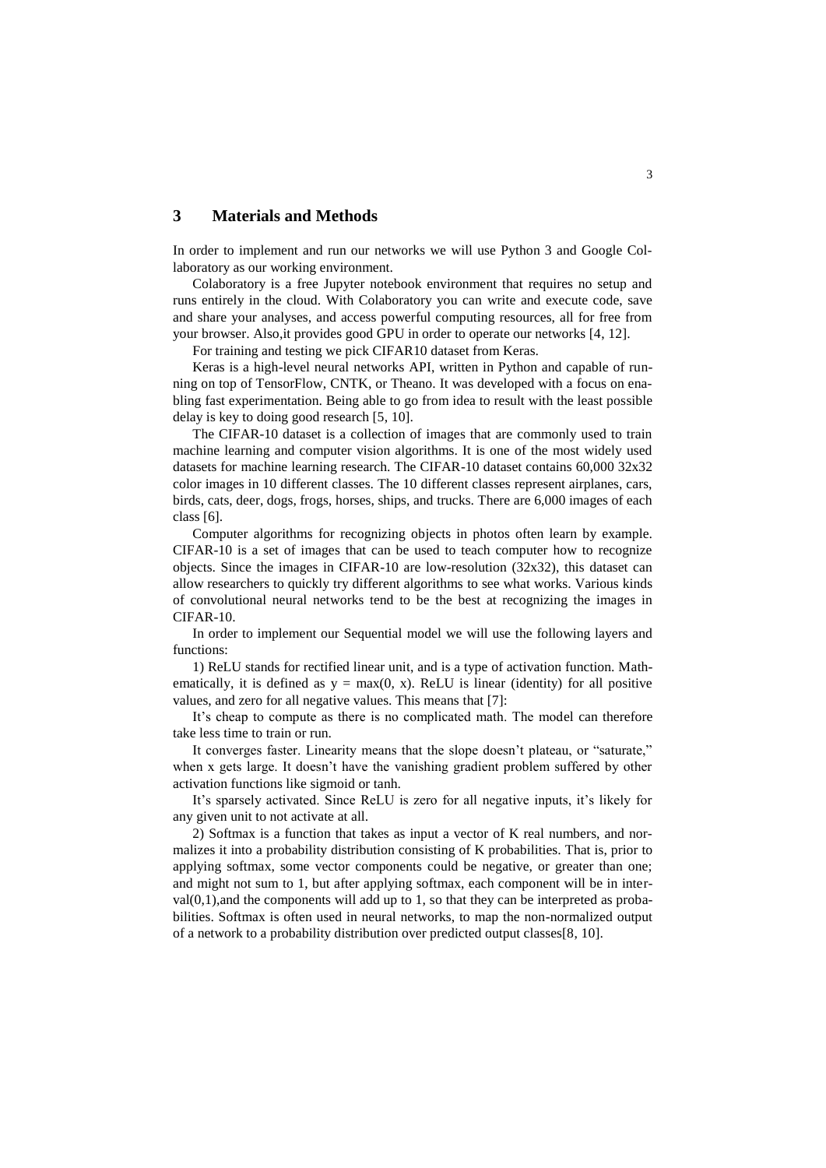## **3 Materials and Methods**

In order to implement and run our networks we will use Python 3 and Google Collaboratory as our working environment.

Colaboratory is a free Jupyter notebook environment that requires no setup and runs entirely in the cloud. With Colaboratory you can write and execute code, save and share your analyses, and access powerful computing resources, all for free from your browser. Also,it provides good GPU in order to operate our networks [4, 12].

For training and testing we pick CIFAR10 dataset from Keras.

Keras is a high-level neural networks API, written in Python and capable of running on top of TensorFlow, CNTK, or Theano. It was developed with a focus on enabling fast experimentation. Being able to go from idea to result with the least possible delay is key to doing good research [5, 10].

The CIFAR-10 dataset is a collection of images that are commonly used to train machine learning and computer vision algorithms. It is one of the most widely used datasets for machine learning research. The CIFAR-10 dataset contains 60,000 32x32 color images in 10 different classes. The 10 different classes represent airplanes, cars, birds, cats, deer, dogs, frogs, horses, ships, and trucks. There are 6,000 images of each class [6].

Computer algorithms for recognizing objects in photos often learn by example. CIFAR-10 is a set of images that can be used to teach computer how to recognize objects. Since the images in CIFAR-10 are low-resolution (32x32), this dataset can allow researchers to quickly try different algorithms to see what works. Various kinds of convolutional neural networks tend to be the best at recognizing the images in CIFAR-10.

In order to implement our Sequential model we will use the following layers and functions:

1) ReLU stands for rectified linear unit, and is a type of activation function. Mathematically, it is defined as  $y = max(0, x)$ . ReLU is linear (identity) for all positive values, and zero for all negative values. This means that [7]:

It's cheap to compute as there is no complicated math. The model can therefore take less time to train or run.

It converges faster. Linearity means that the slope doesn't plateau, or "saturate," when x gets large. It doesn't have the vanishing gradient problem suffered by other activation functions like sigmoid or tanh.

It's sparsely activated. Since ReLU is zero for all negative inputs, it's likely for any given unit to not activate at all.

2) Softmax is a function that takes as input a vector of K real numbers, and normalizes it into a probability distribution consisting of K probabilities. That is, prior to applying softmax, some vector components could be negative, or greater than one; and might not sum to 1, but after applying softmax, each component will be in inter $val(0,1)$ , and the components will add up to 1, so that they can be interpreted as probabilities. Softmax is often used in neural networks, to map the non-normalized output of a network to a probability distribution over predicted output classes[8, 10].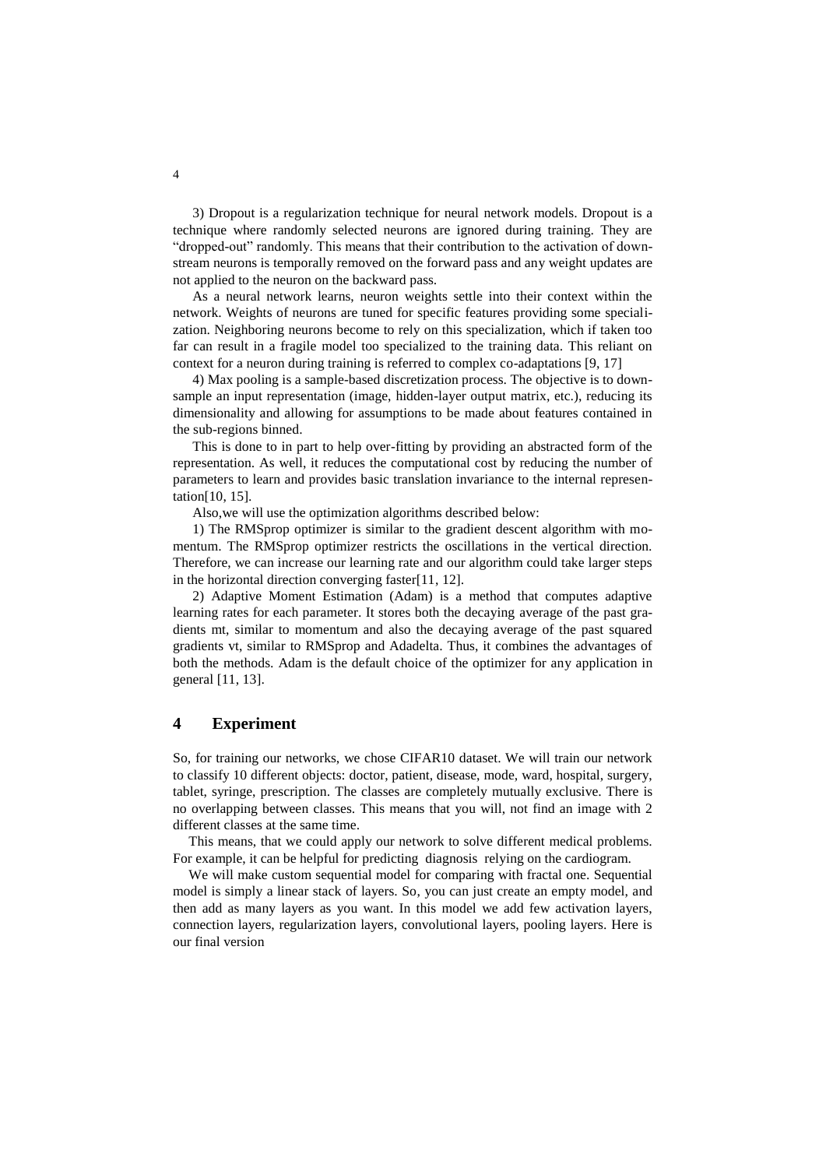3) Dropout is a regularization technique for neural network models. Dropout is a technique where randomly selected neurons are ignored during training. They are "dropped-out" randomly. This means that their contribution to the activation of downstream neurons is temporally removed on the forward pass and any weight updates are not applied to the neuron on the backward pass.

As a neural network learns, neuron weights settle into their context within the network. Weights of neurons are tuned for specific features providing some specialization. Neighboring neurons become to rely on this specialization, which if taken too far can result in a fragile model too specialized to the training data. This reliant on context for a neuron during training is referred to complex co-adaptations [9, 17]

4) Max pooling is a sample-based discretization process. The objective is to downsample an input representation (image, hidden-layer output matrix, etc.), reducing its dimensionality and allowing for assumptions to be made about features contained in the sub-regions binned.

This is done to in part to help over-fitting by providing an abstracted form of the representation. As well, it reduces the computational cost by reducing the number of parameters to learn and provides basic translation invariance to the internal representation[10, 15].

Also,we will use the optimization algorithms described below:

1) The RMSprop optimizer is similar to the gradient descent algorithm with momentum. The RMSprop optimizer restricts the oscillations in the vertical direction. Therefore, we can increase our learning rate and our algorithm could take larger steps in the horizontal direction converging faster[11, 12].

2) Adaptive Moment Estimation (Adam) is a method that computes adaptive learning rates for each parameter. It stores both the decaying average of the past gradients mt, similar to momentum and also the decaying average of the past squared gradients vt, similar to RMSprop and Adadelta. Thus, it combines the advantages of both the methods. Adam is the default choice of the optimizer for any application in general [11, 13].

#### **4 Experiment**

So, for training our networks, we chose CIFAR10 dataset. We will train our network to classify 10 different objects: doctor, patient, disease, mode, ward, hospital, surgery, tablet, syringe, prescription. The classes are completely mutually exclusive. There is no overlapping between classes. This means that you will, not find an image with 2 different classes at the same time.

This means, that we could apply our network to solve different medical problems. For example, it can be helpful for predicting diagnosis relying on the cardiogram.

We will make custom sequential model for comparing with fractal one. Sequential model is simply a linear stack of layers. So, you can just create an empty model, and then add as many layers as you want. In this model we add few activation layers, connection layers, regularization layers, convolutional layers, pooling layers. Here is our final version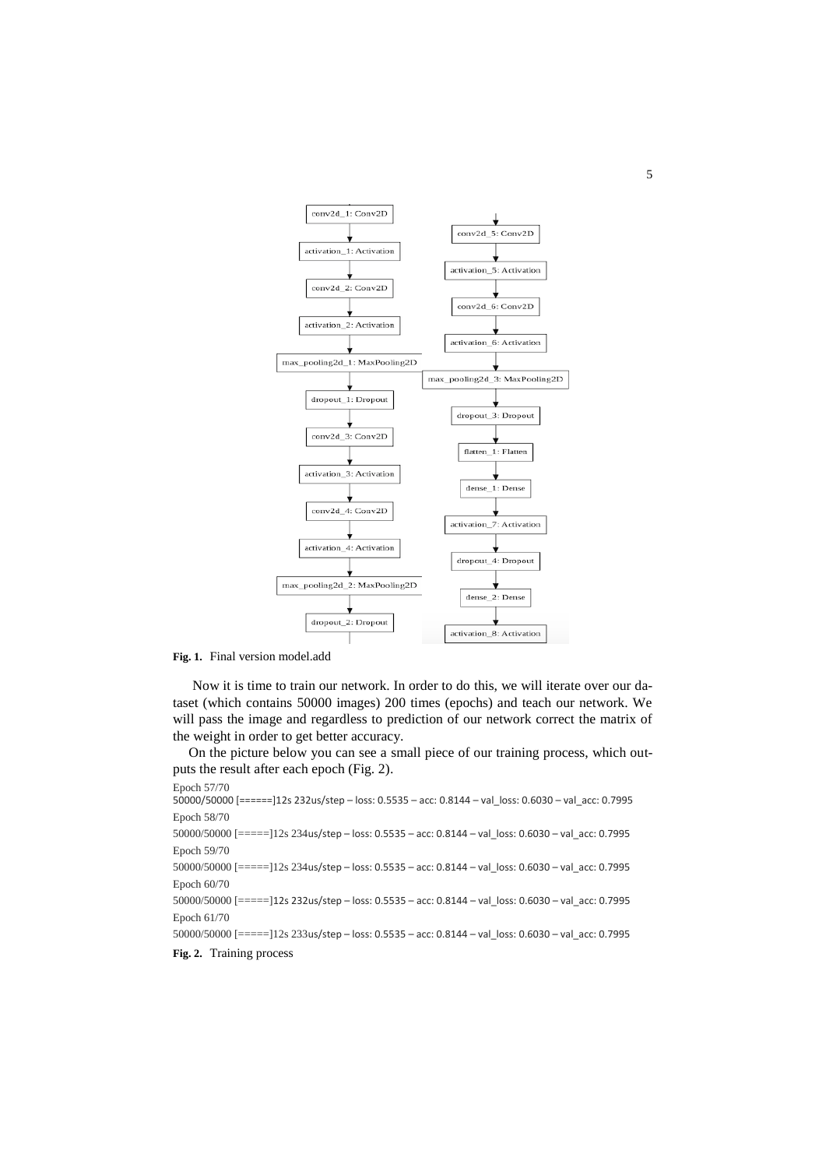

**Fig. 1.** Final version model.add

Now it is time to train our network. In order to do this, we will iterate over our dataset (which contains 50000 images) 200 times (epochs) and teach our network. We will pass the image and regardless to prediction of our network correct the matrix of the weight in order to get better accuracy.

On the picture below you can see a small piece of our training process, which outputs the result after each epoch (Fig. 2).

```
Epoch 57/70 
50000/50000 [======]12s 232us/step – loss: 0.5535 – acc: 0.8144 – val_loss: 0.6030 – val_acc: 0.7995
Epoch 58/70 
50000/50000 [=====]12s 234us/step – loss: 0.5535 – acc: 0.8144 – val_loss: 0.6030 – val_acc: 0.7995
Epoch 59/70 
50000/50000 [=====]12s 234us/step – loss: 0.5535 – acc: 0.8144 – val_loss: 0.6030 – val_acc: 0.7995
Epoch 60/70 
50000/50000 [=====]12s 232us/step – loss: 0.5535 – acc: 0.8144 – val_loss: 0.6030 – val_acc: 0.7995
Epoch 61/70 
50000/50000 [=====]12s 233us/step – loss: 0.5535 – acc: 0.8144 – val_loss: 0.6030 – val_acc: 0.7995
Fig. 2. Training process
```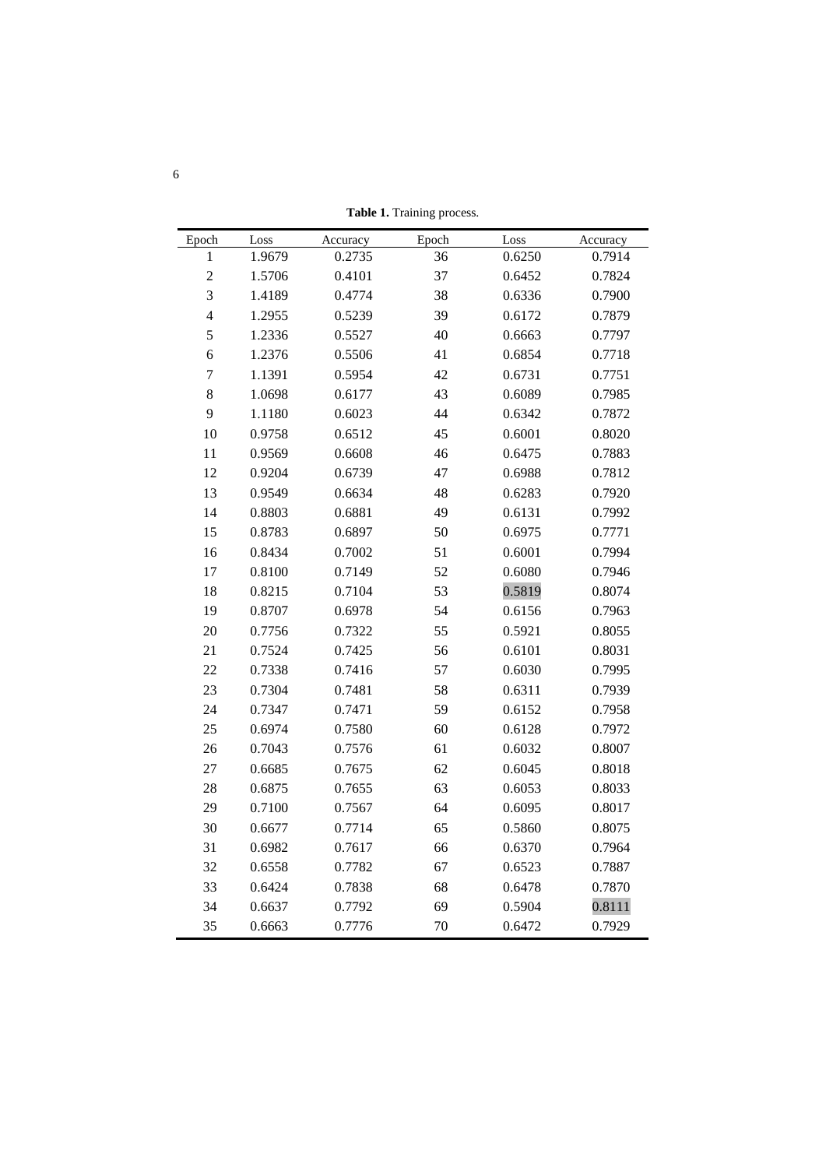**Table 1.** Training process.

| Epoch          | Loss   | Accuracy | Epoch | Loss   | Accuracy |
|----------------|--------|----------|-------|--------|----------|
| 1              | 1.9679 | 0.2735   | 36    | 0.6250 | 0.7914   |
| $\overline{c}$ | 1.5706 | 0.4101   | 37    | 0.6452 | 0.7824   |
| 3              | 1.4189 | 0.4774   | 38    | 0.6336 | 0.7900   |
| $\overline{4}$ | 1.2955 | 0.5239   | 39    | 0.6172 | 0.7879   |
| 5              | 1.2336 | 0.5527   | 40    | 0.6663 | 0.7797   |
| 6              | 1.2376 | 0.5506   | 41    | 0.6854 | 0.7718   |
| $\overline{7}$ | 1.1391 | 0.5954   | 42    | 0.6731 | 0.7751   |
| 8              | 1.0698 | 0.6177   | 43    | 0.6089 | 0.7985   |
| 9              | 1.1180 | 0.6023   | 44    | 0.6342 | 0.7872   |
| 10             | 0.9758 | 0.6512   | 45    | 0.6001 | 0.8020   |
| 11             | 0.9569 | 0.6608   | 46    | 0.6475 | 0.7883   |
| 12             | 0.9204 | 0.6739   | 47    | 0.6988 | 0.7812   |
| 13             | 0.9549 | 0.6634   | 48    | 0.6283 | 0.7920   |
| 14             | 0.8803 | 0.6881   | 49    | 0.6131 | 0.7992   |
| 15             | 0.8783 | 0.6897   | 50    | 0.6975 | 0.7771   |
| 16             | 0.8434 | 0.7002   | 51    | 0.6001 | 0.7994   |
| 17             | 0.8100 | 0.7149   | 52    | 0.6080 | 0.7946   |
| 18             | 0.8215 | 0.7104   | 53    | 0.5819 | 0.8074   |
| 19             | 0.8707 | 0.6978   | 54    | 0.6156 | 0.7963   |
| 20             | 0.7756 | 0.7322   | 55    | 0.5921 | 0.8055   |
| 21             | 0.7524 | 0.7425   | 56    | 0.6101 | 0.8031   |
| 22             | 0.7338 | 0.7416   | 57    | 0.6030 | 0.7995   |
| 23             | 0.7304 | 0.7481   | 58    | 0.6311 | 0.7939   |
| 24             | 0.7347 | 0.7471   | 59    | 0.6152 | 0.7958   |
| 25             | 0.6974 | 0.7580   | 60    | 0.6128 | 0.7972   |
| 26             | 0.7043 | 0.7576   | 61    | 0.6032 | 0.8007   |
| 27             | 0.6685 | 0.7675   | 62    | 0.6045 | 0.8018   |
| 28             | 0.6875 | 0.7655   | 63    | 0.6053 | 0.8033   |
| 29             | 0.7100 | 0.7567   | 64    | 0.6095 | 0.8017   |
| 30             | 0.6677 | 0.7714   | 65    | 0.5860 | 0.8075   |
| 31             | 0.6982 | 0.7617   | 66    | 0.6370 | 0.7964   |
| 32             | 0.6558 | 0.7782   | 67    | 0.6523 | 0.7887   |
| 33             | 0.6424 | 0.7838   | 68    | 0.6478 | 0.7870   |
| 34             | 0.6637 | 0.7792   | 69    | 0.5904 | 0.8111   |
| 35             | 0.6663 | 0.7776   | 70    | 0.6472 | 0.7929   |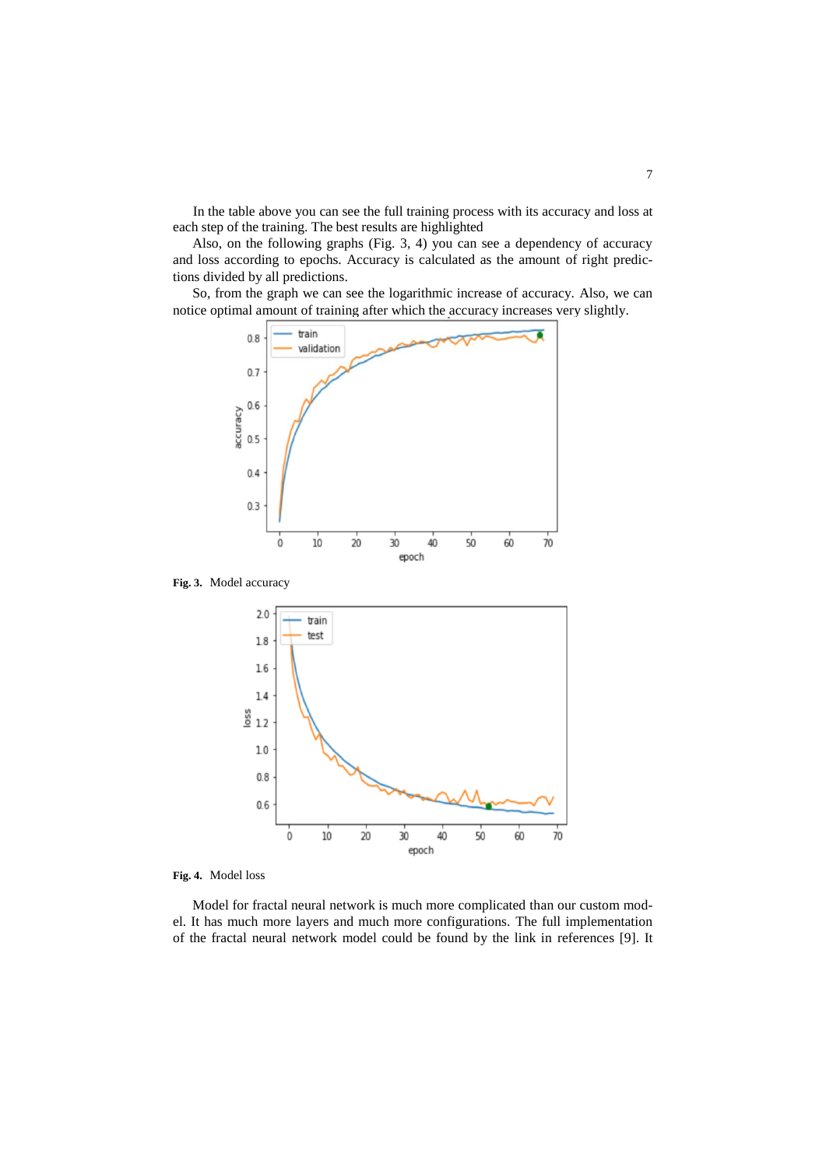In the table above you can see the full training process with its accuracy and loss at each step of the training. The best results are highlighted

Also, on the following graphs (Fig. 3, 4) you can see a dependency of accuracy and loss according to epochs. Accuracy is calculated as the amount of right predictions divided by all predictions.

So, from the graph we can see the logarithmic increase of accuracy. Also, we can notice optimal amount of training after which the accuracy increases very slightly.



**Fig. 3.** Model accuracy



**Fig. 4.** Model loss

Model for fractal neural network is much more complicated than our custom model. It has much more layers and much more configurations. The full implementation of the fractal neural network model could be found by the link in references [9]. It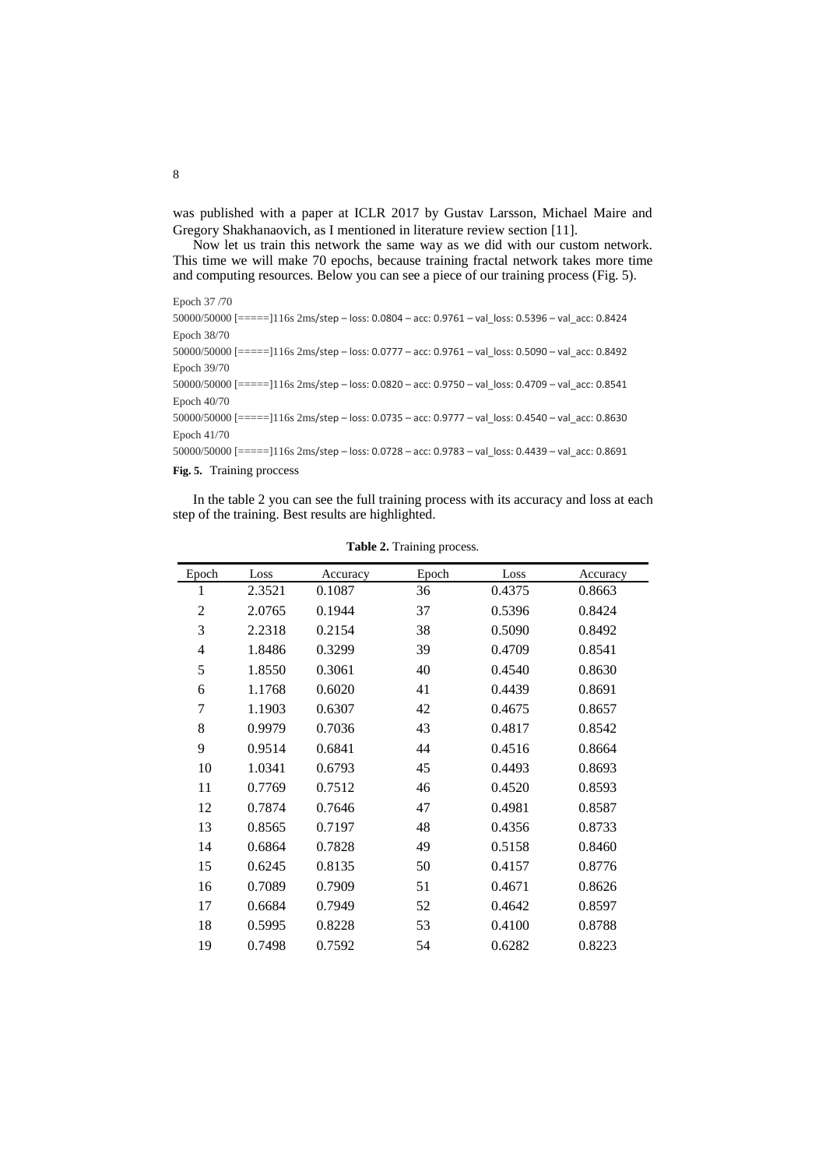was published with a paper at ICLR 2017 by Gustav Larsson, Michael Maire and Gregory Shakhanaovich, as I mentioned in literature review section [11].

Now let us train this network the same way as we did with our custom network. This time we will make 70 epochs, because training fractal network takes more time and computing resources. Below you can see a piece of our training process (Fig. 5).

Epoch 37 /70

| $50000/50000$ [=====]116s 2ms/step - loss: 0.0804 - acc: 0.9761 - val loss: 0.5396 - val acc: 0.8424 |
|------------------------------------------------------------------------------------------------------|
| Epoch 38/70                                                                                          |
| $50000/50000$ [=====]116s 2ms/step - loss: 0.0777 - acc: 0.9761 - val loss: 0.5090 - val acc: 0.8492 |
| Epoch 39/70                                                                                          |
| $50000/50000$ [=====]116s 2ms/step - loss: 0.0820 - acc: 0.9750 - val loss: 0.4709 - val acc: 0.8541 |
| Epoch 40/70                                                                                          |
| 50000/50000 [=====]116s 2ms/step - loss: 0.0735 - acc: 0.9777 - val loss: 0.4540 - val acc: 0.8630   |
| Epoch 41/70                                                                                          |
| $50000/50000$ [=====]116s 2ms/step - loss: 0.0728 - acc: 0.9783 - val loss: 0.4439 - val acc: 0.8691 |
|                                                                                                      |

**Fig. 5.** Training proccess

In the table 2 you can see the full training process with its accuracy and loss at each step of the training. Best results are highlighted.

| Epoch | Loss   | Accuracy | Epoch | Loss   | Accuracy |
|-------|--------|----------|-------|--------|----------|
| 1     | 2.3521 | 0.1087   | 36    | 0.4375 | 0.8663   |
| 2     | 2.0765 | 0.1944   | 37    | 0.5396 | 0.8424   |
| 3     | 2.2318 | 0.2154   | 38    | 0.5090 | 0.8492   |
| 4     | 1.8486 | 0.3299   | 39    | 0.4709 | 0.8541   |
| 5     | 1.8550 | 0.3061   | 40    | 0.4540 | 0.8630   |
| 6     | 1.1768 | 0.6020   | 41    | 0.4439 | 0.8691   |
| 7     | 1.1903 | 0.6307   | 42    | 0.4675 | 0.8657   |
| 8     | 0.9979 | 0.7036   | 43    | 0.4817 | 0.8542   |
| 9     | 0.9514 | 0.6841   | 44    | 0.4516 | 0.8664   |
| 10    | 1.0341 | 0.6793   | 45    | 0.4493 | 0.8693   |
| 11    | 0.7769 | 0.7512   | 46    | 0.4520 | 0.8593   |
| 12    | 0.7874 | 0.7646   | 47    | 0.4981 | 0.8587   |
| 13    | 0.8565 | 0.7197   | 48    | 0.4356 | 0.8733   |
| 14    | 0.6864 | 0.7828   | 49    | 0.5158 | 0.8460   |
| 15    | 0.6245 | 0.8135   | 50    | 0.4157 | 0.8776   |
| 16    | 0.7089 | 0.7909   | 51    | 0.4671 | 0.8626   |
| 17    | 0.6684 | 0.7949   | 52    | 0.4642 | 0.8597   |
| 18    | 0.5995 | 0.8228   | 53    | 0.4100 | 0.8788   |
| 19    | 0.7498 | 0.7592   | 54    | 0.6282 | 0.8223   |

**Table 2.** Training process.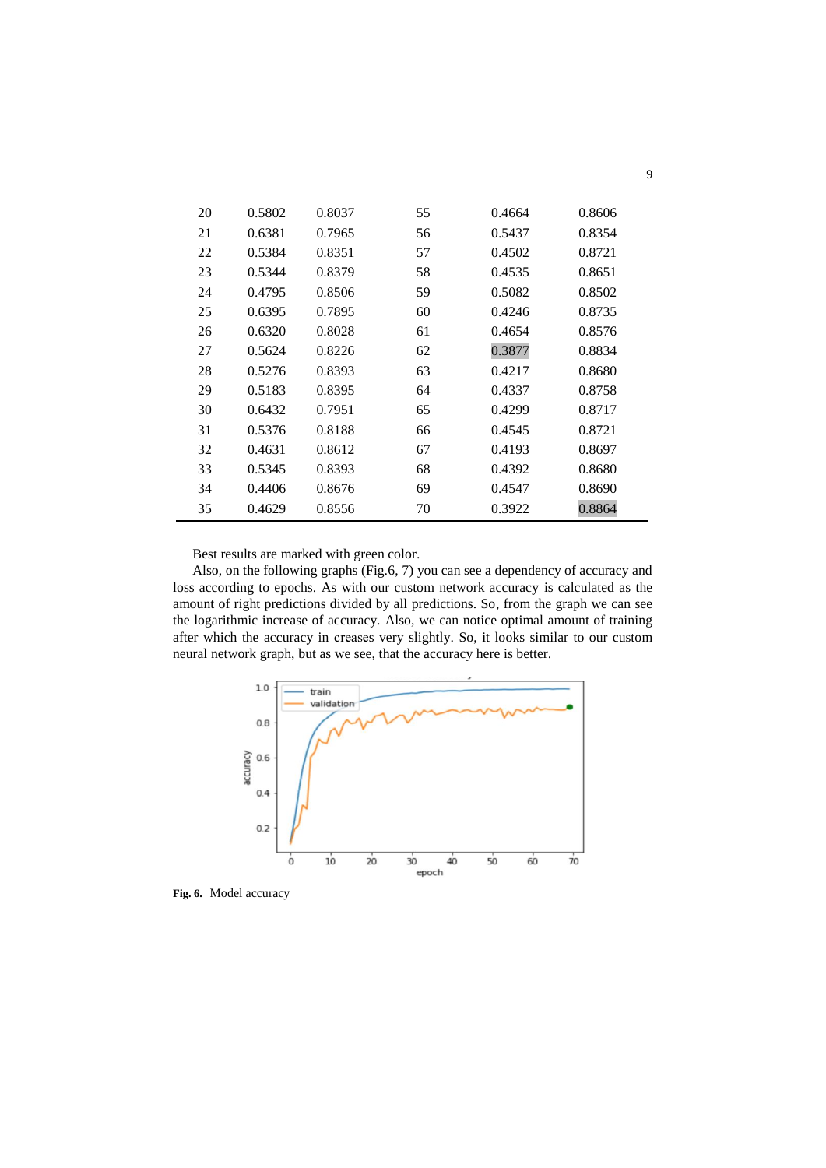| 20 | 0.5802 | 0.8037 | 55 | 0.4664 | 0.8606 |
|----|--------|--------|----|--------|--------|
| 21 | 0.6381 | 0.7965 | 56 | 0.5437 | 0.8354 |
| 22 | 0.5384 | 0.8351 | 57 | 0.4502 | 0.8721 |
| 23 | 0.5344 | 0.8379 | 58 | 0.4535 | 0.8651 |
| 24 | 0.4795 | 0.8506 | 59 | 0.5082 | 0.8502 |
| 25 | 0.6395 | 0.7895 | 60 | 0.4246 | 0.8735 |
| 26 | 0.6320 | 0.8028 | 61 | 0.4654 | 0.8576 |
| 27 | 0.5624 | 0.8226 | 62 | 0.3877 | 0.8834 |
| 28 | 0.5276 | 0.8393 | 63 | 0.4217 | 0.8680 |
| 29 | 0.5183 | 0.8395 | 64 | 0.4337 | 0.8758 |
| 30 | 0.6432 | 0.7951 | 65 | 0.4299 | 0.8717 |
| 31 | 0.5376 | 0.8188 | 66 | 0.4545 | 0.8721 |
| 32 | 0.4631 | 0.8612 | 67 | 0.4193 | 0.8697 |
| 33 | 0.5345 | 0.8393 | 68 | 0.4392 | 0.8680 |
| 34 | 0.4406 | 0.8676 | 69 | 0.4547 | 0.8690 |
| 35 | 0.4629 | 0.8556 | 70 | 0.3922 | 0.8864 |

Best results are marked with green color.

Also, on the following graphs (Fig.6, 7) you can see a dependency of accuracy and loss according to epochs. As with our custom network accuracy is calculated as the amount of right predictions divided by all predictions. So, from the graph we can see the logarithmic increase of accuracy. Also, we can notice optimal amount of training after which the accuracy in сreases very slightly. So, it looks similar to our custom neural network graph, but as we see, that the accuracy here is better.



**Fig. 6.** Model accuracy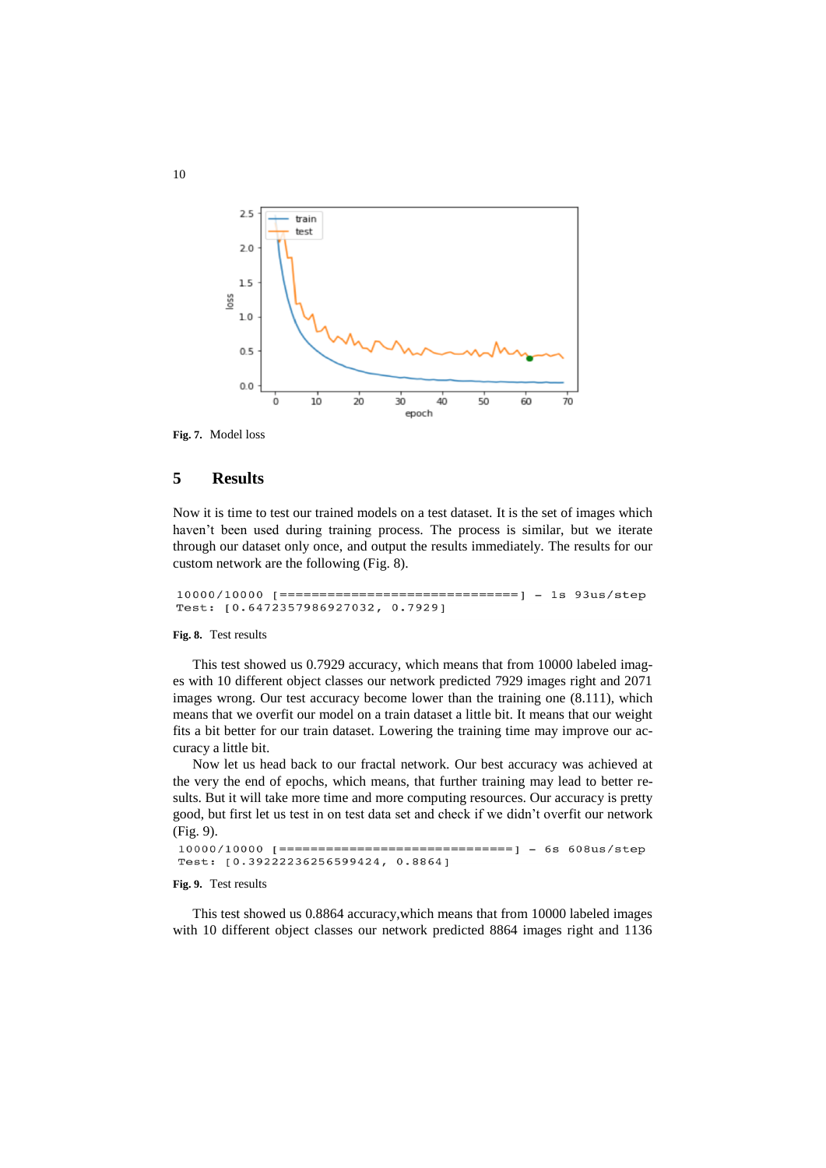

**Fig. 7.** Model loss

## **5 Results**

Now it is time to test our trained models on a test dataset. It is the set of images which haven't been used during training process. The process is similar, but we iterate through our dataset only once, and output the results immediately. The results for our custom network are the following (Fig. 8).

Test: [0.6472357986927032, 0.7929]

#### **Fig. 8.** Test results

This test showed us 0.7929 accuracy, which means that from 10000 labeled images with 10 different object classes our network predicted 7929 images right and 2071 images wrong. Our test accuracy become lower than the training one (8.111), which means that we overfit our model on a train dataset a little bit. It means that our weight fits a bit better for our train dataset. Lowering the training time may improve our accuracy a little bit.

Now let us head back to our fractal network. Our best accuracy was achieved at the very the end of epochs, which means, that further training may lead to better results. But it will take more time and more computing resources. Our accuracy is pretty good, but first let us test in on test data set and check if we didn't overfit our network (Fig. 9).

```
Test: [0.39222236256599424, 0.8864]
```
#### **Fig. 9.** Test results

This test showed us 0.8864 accuracy,which means that from 10000 labeled images with 10 different object classes our network predicted 8864 images right and 1136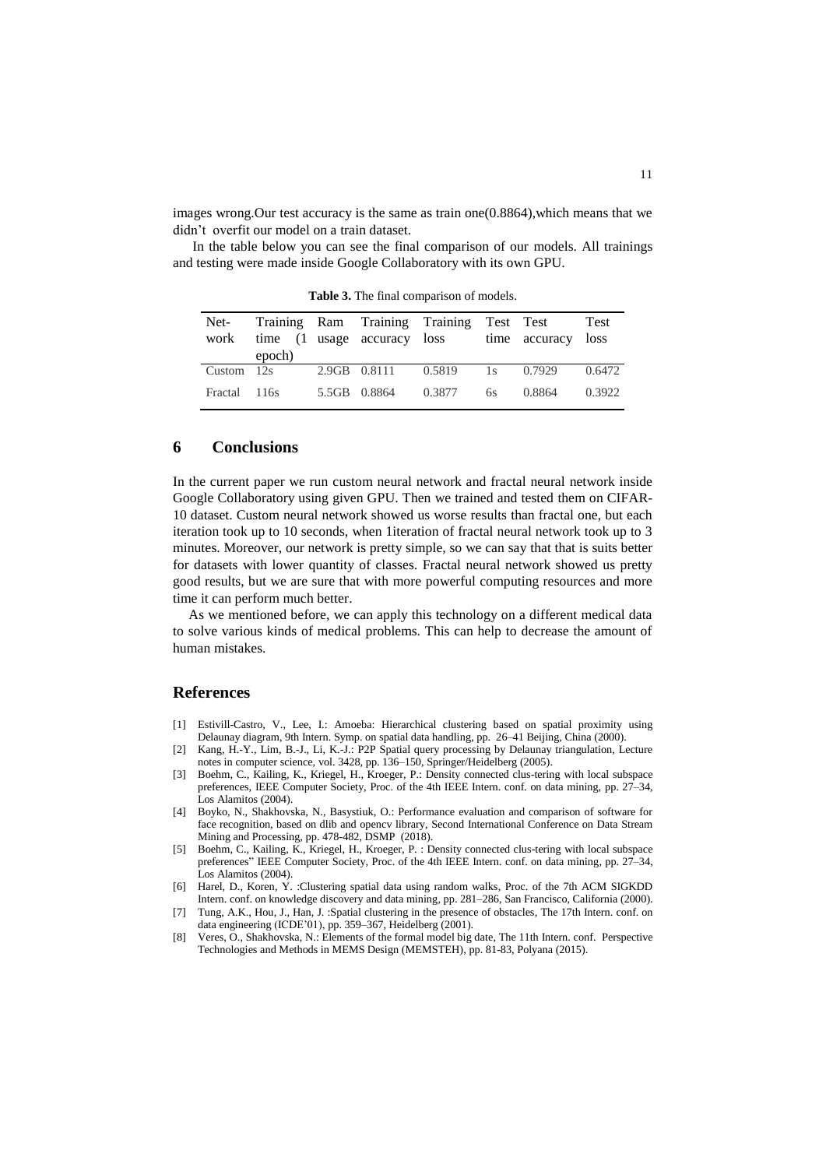images wrong. Our test accuracy is the same as train one  $(0.8864)$ , which means that we didn't overfit our model on a train dataset.

In the table below you can see the final comparison of our models. All trainings and testing were made inside Google Collaboratory with its own GPU.

| Net-<br>work | epoch) | time (1 usage accuracy loss | Training Ram Training Training Test Test |    | time accuracy loss | Test   |
|--------------|--------|-----------------------------|------------------------------------------|----|--------------------|--------|
| Custom $12s$ |        | 2.9GB 0.8111                | 0.5819                                   |    | 1s 0.7929          | 0.6472 |
| Fractal 116s |        | 5.5GB 0.8864                | 0.3877                                   | 6s | 0.8864             | 0.3922 |

**Table 3.** The final comparison of models.

#### **6 Conclusions**

In the current paper we run custom neural network and fractal neural network inside Google Collaboratory using given GPU. Then we trained and tested them on CIFAR-10 dataset. Custom neural network showed us worse results than fractal one, but each iteration took up to 10 seconds, when 1iteration of fractal neural network took up to 3 minutes. Moreover, our network is pretty simple, so we can say that that is suits better for datasets with lower quantity of classes. Fractal neural network showed us pretty good results, but we are sure that with more powerful computing resources and more time it can perform much better.

As we mentioned before, we can apply this technology on a different medical data to solve various kinds of medical problems. This can help to decrease the amount of human mistakes.

#### **References**

- [1] Estivill-Castro, V., Lee, I.: Amoeba: Hierarchical clustering based on spatial proximity using Delaunay diagram, 9th Intern. Symp. on spatial data handling, pp. 26–41 Beijing, China (2000).
- [2] Kang, H.-Y., Lim, B.-J., Li, K.-J.: P2P Spatial query processing by Delaunay triangulation, Lecture notes in computer science, vol. 3428, pp. 136–150, Springer/Heidelberg (2005).
- [3] Boehm, C., Kailing, K., Kriegel, H., Kroeger, P.: Density connected clus-tering with local subspace preferences, IEEE Computer Society, Proc. of the 4th IEEE Intern. conf. on data mining, pp. 27–34, Los Alamitos (2004).
- [4] Boyko, N., Shakhovska, N., Basystiuk, O.: Performance evaluation and comparison of software for face recognition, based on dlib and opencv library, Second International Conference on Data Stream Mining and Processing, pp. 478-482, DSMP (2018).
- [5] Boehm, C., Kailing, K., Kriegel, H., Kroeger, P. : Density connected clus-tering with local subspace preferences" IEEE Computer Society, Proc. of the 4th IEEE Intern. conf. on data mining, pp. 27–34, Los Alamitos (2004).
- [6] Harel, D., Koren, Y. :Clustering spatial data using random walks, Proc. of the 7th ACM SIGKDD Intern. conf. on knowledge discovery and data mining, pp. 281–286, San Francisco, California (2000).
- [7] Tung, A.K., Hou, J., Han, J. :Spatial clustering in the presence of obstacles, The 17th Intern. conf. on data engineering (ICDE'01), pp. 359–367, Heidelberg (2001).
- [8] Veres, O., Shakhovska, N.: Elements of the formal model big date, The 11th Intern. conf. Perspective Technologies and Methods in MEMS Design (MEMSTEH), pp. 81-83, Polyana (2015).